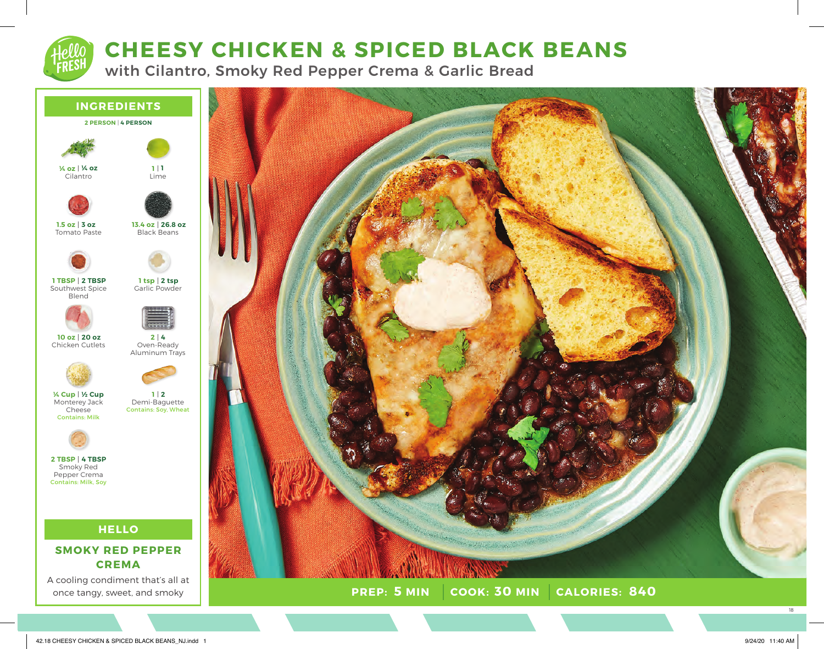# **CHEESY CHICKEN & SPICED BLACK BEANS**

with Cilantro, Smoky Red Pepper Crema & Garlic Bread